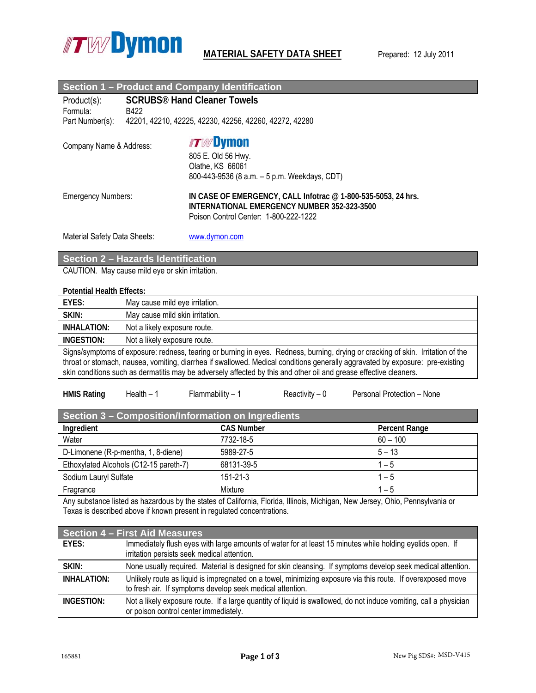

| <b>Section 1 - Product and Company Identification</b>        |                                                        |                                                                                                                                                         |  |
|--------------------------------------------------------------|--------------------------------------------------------|---------------------------------------------------------------------------------------------------------------------------------------------------------|--|
| <b>SCRUBS<sup>®</sup> Hand Cleaner Towels</b><br>Product(s): |                                                        |                                                                                                                                                         |  |
| Formula:<br>B422                                             |                                                        |                                                                                                                                                         |  |
| Part Number(s):                                              | 42201, 42210, 42225, 42230, 42256, 42260, 42272, 42280 |                                                                                                                                                         |  |
| Company Name & Address:                                      |                                                        | <b>ITWDymon</b><br>805 E. Old 56 Hwy.<br>Olathe, KS 66061<br>800-443-9536 (8 a.m. - 5 p.m. Weekdays, CDT)                                               |  |
| <b>Emergency Numbers:</b>                                    |                                                        | IN CASE OF EMERGENCY, CALL Infotrac $@$ 1-800-535-5053, 24 hrs.<br>INTERNATIONAL EMERGENCY NUMBER 352-323-3500<br>Poison Control Center: 1-800-222-1222 |  |
| Material Safety Data Sheets:                                 |                                                        | www.dymon.com                                                                                                                                           |  |

# **Section 2 – Hazards Identification**

CAUTION. May cause mild eye or skin irritation.

### **Potential Health Effects:**

| EYES:                                                                                                                                                                                                                                                                                                                                                                                  | May cause mild eye irritation.  |  |  |
|----------------------------------------------------------------------------------------------------------------------------------------------------------------------------------------------------------------------------------------------------------------------------------------------------------------------------------------------------------------------------------------|---------------------------------|--|--|
| SKIN:                                                                                                                                                                                                                                                                                                                                                                                  | May cause mild skin irritation. |  |  |
| INHALATION:                                                                                                                                                                                                                                                                                                                                                                            | Not a likely exposure route.    |  |  |
| INGESTION:                                                                                                                                                                                                                                                                                                                                                                             | Not a likely exposure route.    |  |  |
| Signs/symptoms of exposure: redness, tearing or burning in eyes. Redness, burning, drying or cracking of skin. Irritation of the<br>throat or stomach, nausea, vomiting, diarrhea if swallowed. Medical conditions generally aggravated by exposure: pre-existing<br>skin conditions such as dermatitis may be adversely affected by this and other oil and grease effective cleaners. |                                 |  |  |

| <b>HMIS Rating</b> | Health – | -lammabilitv – | Reactivity – 0 | Personal Protection - None |
|--------------------|----------|----------------|----------------|----------------------------|
|                    |          |                |                |                            |

| Section 3 - Composition/Information on Ingredients |                   |               |  |
|----------------------------------------------------|-------------------|---------------|--|
| Ingredient                                         | <b>CAS Number</b> | Percent Range |  |
| Water                                              | 7732-18-5         | $60 - 100$    |  |
| D-Limonene (R-p-mentha, 1, 8-diene)                | 5989-27-5         | $5 - 13$      |  |
| Ethoxylated Alcohols (C12-15 pareth-7)             | 68131-39-5        | $1 - 5$       |  |
| Sodium Lauryl Sulfate                              | $151 - 21 - 3$    | $1 - 5$       |  |
| Fragrance                                          | Mixture           | $1 - 5$       |  |

Any substance listed as hazardous by the states of California, Florida, Illinois, Michigan, New Jersey, Ohio, Pennsylvania or Texas is described above if known present in regulated concentrations.

| Section 4 – First Aid Measures |                                                                                                                                                                          |  |  |
|--------------------------------|--------------------------------------------------------------------------------------------------------------------------------------------------------------------------|--|--|
| EYES:                          | Immediately flush eyes with large amounts of water for at least 15 minutes while holding eyelids open. If<br>irritation persists seek medical attention.                 |  |  |
| SKIN:                          | None usually required. Material is designed for skin cleansing. If symptoms develop seek medical attention.                                                              |  |  |
| INHALATION:                    | Unlikely route as liquid is impregnated on a towel, minimizing exposure via this route. If overexposed move<br>to fresh air. If symptoms develop seek medical attention. |  |  |
| INGESTION:                     | Not a likely exposure route. If a large quantity of liquid is swallowed, do not induce vomiting, call a physician<br>or poison control center immediately.               |  |  |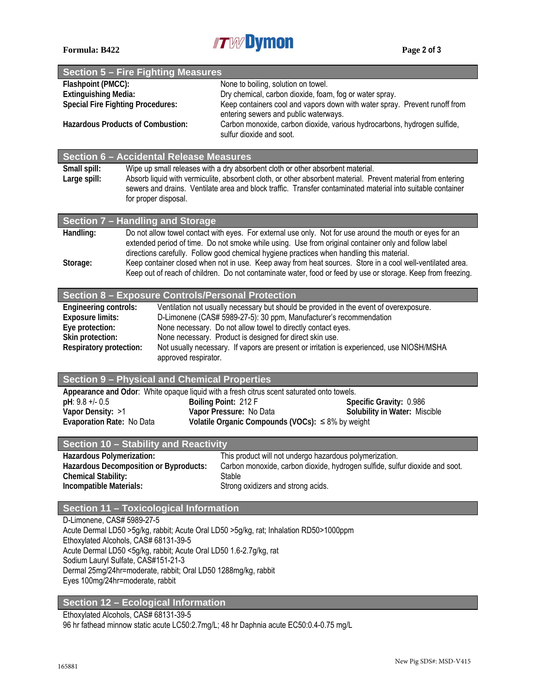

|                                                                                                             | Section 5 - Fire Fighting Measures                  |                                                                                                                                                                                                                                                                                                                |  |  |
|-------------------------------------------------------------------------------------------------------------|-----------------------------------------------------|----------------------------------------------------------------------------------------------------------------------------------------------------------------------------------------------------------------------------------------------------------------------------------------------------------------|--|--|
| Flashpoint (PMCC):                                                                                          |                                                     | None to boiling, solution on towel.                                                                                                                                                                                                                                                                            |  |  |
| <b>Extinguishing Media:</b>                                                                                 |                                                     | Dry chemical, carbon dioxide, foam, fog or water spray.                                                                                                                                                                                                                                                        |  |  |
|                                                                                                             | <b>Special Fire Fighting Procedures:</b>            | Keep containers cool and vapors down with water spray. Prevent runoff from<br>entering sewers and public waterways.                                                                                                                                                                                            |  |  |
| <b>Hazardous Products of Combustion:</b>                                                                    |                                                     | Carbon monoxide, carbon dioxide, various hydrocarbons, hydrogen sulfide,<br>sulfur dioxide and soot.                                                                                                                                                                                                           |  |  |
|                                                                                                             | Section 6 - Accidental Release Measures             |                                                                                                                                                                                                                                                                                                                |  |  |
| Small spill:                                                                                                |                                                     | Wipe up small releases with a dry absorbent cloth or other absorbent material.                                                                                                                                                                                                                                 |  |  |
| Large spill:                                                                                                | for proper disposal.                                | Absorb liquid with vermiculite, absorbent cloth, or other absorbent material. Prevent material from entering<br>sewers and drains. Ventilate area and block traffic. Transfer contaminated material into suitable container                                                                                    |  |  |
|                                                                                                             | Section 7 - Handling and Storage                    |                                                                                                                                                                                                                                                                                                                |  |  |
| Handling:                                                                                                   |                                                     | Do not allow towel contact with eyes. For external use only. Not for use around the mouth or eyes for an                                                                                                                                                                                                       |  |  |
| Storage:                                                                                                    |                                                     | extended period of time. Do not smoke while using. Use from original container only and follow label<br>directions carefully. Follow good chemical hygiene practices when handling this material.<br>Keep container closed when not in use. Keep away from heat sources. Store in a cool well-ventilated area. |  |  |
|                                                                                                             |                                                     | Keep out of reach of children. Do not contaminate water, food or feed by use or storage. Keep from freezing.                                                                                                                                                                                                   |  |  |
|                                                                                                             | Section 8 - Exposure Controls/Personal Protection   |                                                                                                                                                                                                                                                                                                                |  |  |
| <b>Engineering controls:</b>                                                                                |                                                     | Ventilation not usually necessary but should be provided in the event of overexposure.                                                                                                                                                                                                                         |  |  |
| <b>Exposure limits:</b><br>Eye protection:                                                                  |                                                     | D-Limonene (CAS# 5989-27-5): 30 ppm, Manufacturer's recommendation<br>None necessary. Do not allow towel to directly contact eyes.                                                                                                                                                                             |  |  |
| Skin protection:                                                                                            |                                                     | None necessary. Product is designed for direct skin use.                                                                                                                                                                                                                                                       |  |  |
| Respiratory protection:                                                                                     | approved respirator.                                | Not usually necessary. If vapors are present or irritation is experienced, use NIOSH/MSHA                                                                                                                                                                                                                      |  |  |
|                                                                                                             |                                                     |                                                                                                                                                                                                                                                                                                                |  |  |
|                                                                                                             | <b>Section 9 - Physical and Chemical Properties</b> |                                                                                                                                                                                                                                                                                                                |  |  |
|                                                                                                             |                                                     | Appearance and Odor: White opaque liquid with a fresh citrus scent saturated onto towels.                                                                                                                                                                                                                      |  |  |
| pH: 9.8 +/- 0.5<br>Vapor Density: >1                                                                        |                                                     | Boiling Point: 212 F<br>Specific Gravity: 0.986<br>Solubility in Water: Miscible<br>Vapor Pressure: No Data                                                                                                                                                                                                    |  |  |
| Evaporation Rate: No Data                                                                                   |                                                     | Volatile Organic Compounds (VOCs): $\leq 8\%$ by weight                                                                                                                                                                                                                                                        |  |  |
|                                                                                                             |                                                     |                                                                                                                                                                                                                                                                                                                |  |  |
|                                                                                                             | Section 10 - Stability and Reactivity               |                                                                                                                                                                                                                                                                                                                |  |  |
| Hazardous Polymerization:                                                                                   | <b>Hazardous Decomposition or Byproducts:</b>       | This product will not undergo hazardous polymerization.<br>Carbon monoxide, carbon dioxide, hydrogen sulfide, sulfur dioxide and soot.                                                                                                                                                                         |  |  |
| <b>Chemical Stability:</b>                                                                                  |                                                     | Stable                                                                                                                                                                                                                                                                                                         |  |  |
| Incompatible Materials:                                                                                     |                                                     | Strong oxidizers and strong acids.                                                                                                                                                                                                                                                                             |  |  |
|                                                                                                             | Section 11 - Toxicological Information              |                                                                                                                                                                                                                                                                                                                |  |  |
| D-Limonene, CAS# 5989-27-5                                                                                  |                                                     |                                                                                                                                                                                                                                                                                                                |  |  |
| Acute Dermal LD50 >5g/kg, rabbit; Acute Oral LD50 >5g/kg, rat; Inhalation RD50>1000ppm                      |                                                     |                                                                                                                                                                                                                                                                                                                |  |  |
| Ethoxylated Alcohols, CAS# 68131-39-5<br>Acute Dermal LD50 <5g/kg, rabbit; Acute Oral LD50 1.6-2.7g/kg, rat |                                                     |                                                                                                                                                                                                                                                                                                                |  |  |
| Sodium Lauryl Sulfate, CAS#151-21-3                                                                         |                                                     |                                                                                                                                                                                                                                                                                                                |  |  |
| Dermal 25mg/24hr=moderate, rabbit; Oral LD50 1288mg/kg, rabbit                                              |                                                     |                                                                                                                                                                                                                                                                                                                |  |  |
|                                                                                                             | Eyes 100mg/24hr=moderate, rabbit                    |                                                                                                                                                                                                                                                                                                                |  |  |

# **Section 12 – Ecological Information**

Ethoxylated Alcohols, CAS# 68131-39-5

96 hr fathead minnow static acute LC50:2.7mg/L; 48 hr Daphnia acute EC50:0.4-0.75 mg/L